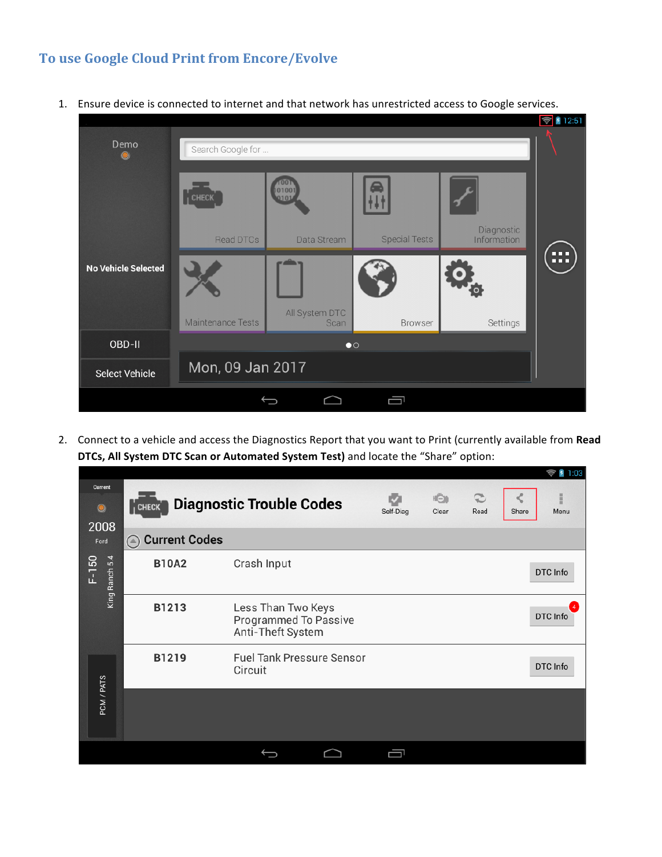## **To use Google Cloud Print from Encore/Evolve**



1. Ensure device is connected to internet and that network has unrestricted access to Google services.

2. Connect to a vehicle and access the Diagnostics Report that you want to Print (currently available from Read **DTCs, All System DTC Scan or Automated System Test)** and locate the "Share" option:

|                           |                                       |                                                                  |           |              |                        | $\sim$ 1.00        |
|---------------------------|---------------------------------------|------------------------------------------------------------------|-----------|--------------|------------------------|--------------------|
| Current<br>۱<br>2008      | $\overline{1}$ CHECK                  | <b>Diagnostic Trouble Codes</b>                                  | Self-Diag | HŌ1<br>Clear | $\mathfrak{D}$<br>Read | š<br>Menu<br>Share |
| Ford                      | <b>Current Codes</b><br>$(\triangle)$ |                                                                  |           |              |                        |                    |
| King Ranch 5.4<br>$F-150$ | <b>B10A2</b>                          | Crash Input                                                      |           |              |                        | DTC Info           |
|                           | B1213                                 | Less Than Two Keys<br>Programmed To Passive<br>Anti-Theft System |           |              |                        | DTC Info           |
|                           | B1219                                 | <b>Fuel Tank Pressure Sensor</b><br>Circuit                      |           |              |                        | DTC Info           |
| PCM / PATS                |                                       |                                                                  |           |              |                        |                    |
|                           |                                       |                                                                  |           |              |                        |                    |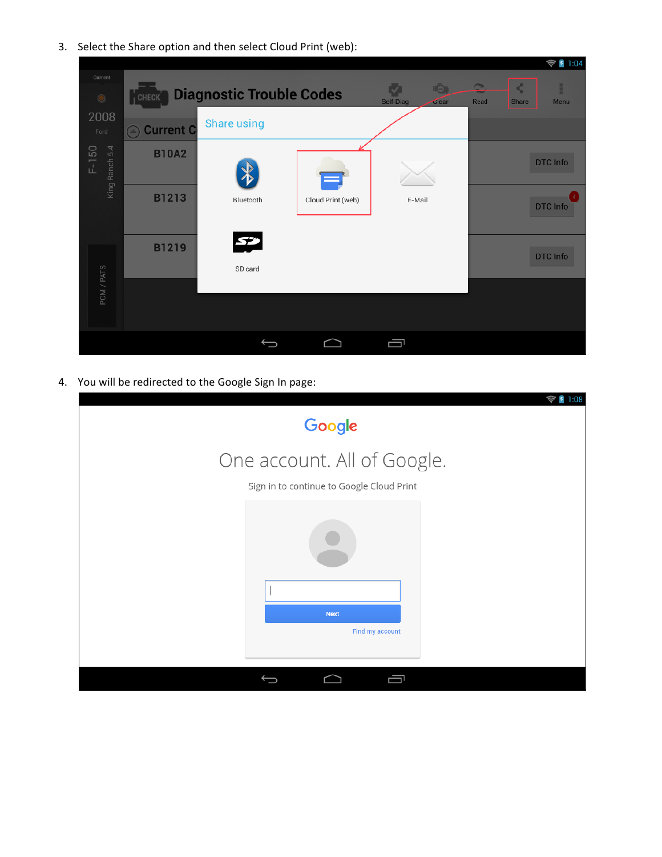3. Select the Share option and then select Cloud Print (web):

|                           |                       |                                 |                   |                                            |                                                 | $\frac{1}{2}$ 1:04 |
|---------------------------|-----------------------|---------------------------------|-------------------|--------------------------------------------|-------------------------------------------------|--------------------|
| Current<br>$\circledast$  | <b>CHECK</b>          | <b>Diagnostic Trouble Codes</b> |                   | <b>HO</b><br>V<br>Self-Diag<br>$\tau$ lear | $\rightarrow$<br>$\mathcal{L}$<br>Read<br>Share | F<br>Menu          |
| 2008<br>Ford              | <b>Current C</b><br>( | <b>Share using</b>              |                   |                                            |                                                 |                    |
| King Ranch 5.4<br>$F-150$ | <b>B10A2</b>          |                                 |                   |                                            |                                                 | <b>DTC Info</b>    |
|                           | <b>B1213</b>          | Bluetooth                       | Cloud Print (web) | E-Mail                                     |                                                 | <b>DTC Info</b>    |
|                           | <b>B1219</b>          | 53<br>SD card                   |                   |                                            |                                                 | <b>DTC Info</b>    |
| PCM / PATS                |                       |                                 |                   |                                            |                                                 |                    |
|                           |                       |                                 |                   | ſU                                         |                                                 |                    |

4. You will be redirected to the Google Sign In page:

| 1:08<br>Google                                                           |
|--------------------------------------------------------------------------|
| One account. All of Google.<br>Sign in to continue to Google Cloud Print |
|                                                                          |
| <b>Next</b><br>Find my account                                           |
| 一                                                                        |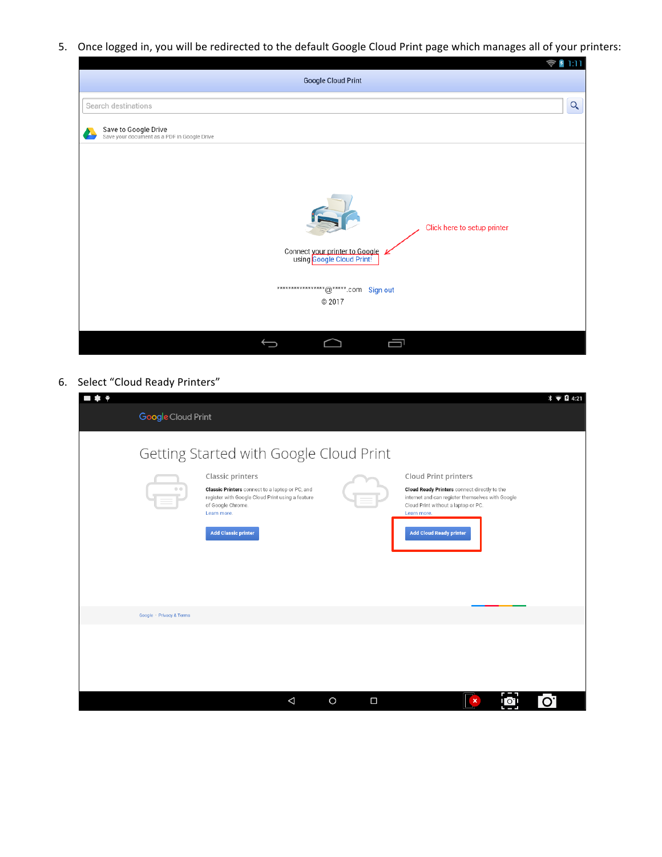5. Once logged in, you will be redirected to the default Google Cloud Print page which manages all of your printers:

| <b>Google Cloud Print</b>                                                                                                                      | 1:11<br>Ç<br>$\boldsymbol{\tau}$ |
|------------------------------------------------------------------------------------------------------------------------------------------------|----------------------------------|
| Search destinations                                                                                                                            | $\alpha$                         |
| Save to Google Drive<br>Save your document as a PDF in Google Drive                                                                            |                                  |
|                                                                                                                                                |                                  |
| Click here to setup printer<br>Connect your printer to Google<br>using Google Cloud Print!<br>****************** @*****.com Sign out<br>© 2017 |                                  |
| 靣                                                                                                                                              |                                  |

6. Select "Cloud Ready Printers"

| $  \prime$               |                                                                                                                                         |                   |                                                                                                                                                               | $\hat{x}$ $\hat{B}$ 4:21 |
|--------------------------|-----------------------------------------------------------------------------------------------------------------------------------------|-------------------|---------------------------------------------------------------------------------------------------------------------------------------------------------------|--------------------------|
| Google Cloud Print       |                                                                                                                                         |                   |                                                                                                                                                               |                          |
|                          | Getting Started with Google Cloud Print<br>Classic printers                                                                             |                   | <b>Cloud Print printers</b>                                                                                                                                   |                          |
|                          | Classic Printers connect to a laptop or PC, and<br>register with Google Cloud Print using a feature<br>of Google Chrome.<br>Learn more. |                   | <b>Cloud Ready Printers</b> connect directly to the<br>internet and can register themselves with Google<br>Cloud Print without a laptop or PC.<br>Learn more. |                          |
|                          | <b>Add Classic printer</b>                                                                                                              |                   | <b>Add Cloud Ready printer</b>                                                                                                                                |                          |
|                          |                                                                                                                                         |                   |                                                                                                                                                               |                          |
| Google · Privacy & Terms |                                                                                                                                         |                   |                                                                                                                                                               |                          |
|                          |                                                                                                                                         |                   |                                                                                                                                                               |                          |
|                          |                                                                                                                                         |                   |                                                                                                                                                               |                          |
|                          | Δ                                                                                                                                       | $\circ$<br>$\Box$ | $\pmb{\times}$<br>$\circ$                                                                                                                                     | O                        |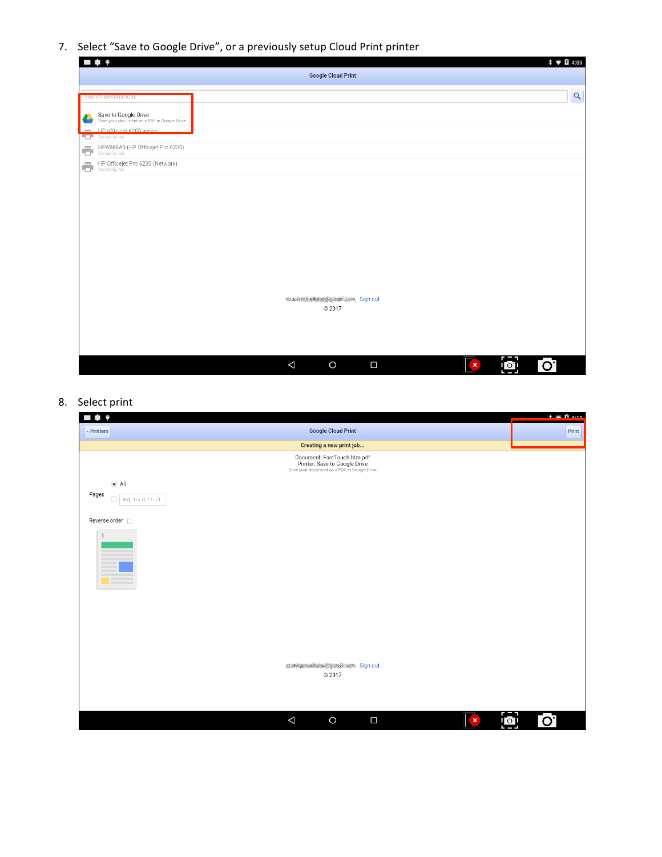7. Select "Save to Google Drive", or a previously setup Cloud Print printer

|                    | $\blacksquare$                                                      |          |                                               |        |                           |    | $\ast$ $\bullet$ <b>B</b> 4:09 |
|--------------------|---------------------------------------------------------------------|----------|-----------------------------------------------|--------|---------------------------|----|--------------------------------|
|                    |                                                                     |          | <b>Google Cloud Print</b>                     |        |                           |    |                                |
|                    |                                                                     |          |                                               |        |                           |    |                                |
|                    | Search destinations                                                 |          |                                               |        |                           |    | $\alpha$                       |
| $\blacklozenge$    | Save to Google Drive<br>Save your document as a PDF in Google Drive |          |                                               |        |                           |    |                                |
| $\sim$             | HP officeiet 6200 series                                            |          |                                               |        |                           |    |                                |
| T                  | Owned by me                                                         |          |                                               |        |                           |    |                                |
| Ō                  | HPAB68A0 (HP Officejet Pro 6230)                                    |          |                                               |        |                           |    |                                |
| $\bar{\mathbf{C}}$ | HP Officejet Pro 6230 (Network)                                     |          |                                               |        |                           |    |                                |
|                    |                                                                     |          | starsminstered genuit cove Sign out<br>© 2017 |        |                           |    |                                |
|                    |                                                                     | $\Delta$ | $\circ$                                       | $\Box$ | $\boldsymbol{\mathsf{x}}$ | ि। | ြဝါ                            |

8. Select print

| Θ<br>ı                                                                                                      | $\mathbf{X}$ $\odot$ $\mathbf{B}$ $\mathbf{A}$ 11 |
|-------------------------------------------------------------------------------------------------------------|---------------------------------------------------|
| <b>Google Cloud Print</b><br>« Printers                                                                     | Print                                             |
| Creating a new print job                                                                                    |                                                   |
| Document: FastTouch.htm.pdf<br>Printer: Save to Google Drive<br>Save your document as a PDF in Google Drive |                                                   |
| $\bullet$ All                                                                                               |                                                   |
| Pages<br>$\bigcirc$   e.g. 1-5, 8, 11-13                                                                    |                                                   |
| Reverse order n                                                                                             |                                                   |
| $\mathbf{1}$<br>$\qquad \qquad$<br><b>Contract</b>                                                          |                                                   |
| <b>NORTHWEIGHT CONTROL</b> Sign out                                                                         |                                                   |
| © 2017                                                                                                      |                                                   |
|                                                                                                             |                                                   |
|                                                                                                             |                                                   |
| $\triangle$<br>$\circ$<br>$\Box$<br>$\pmb{\times}$                                                          | -ol<br>Lo.                                        |